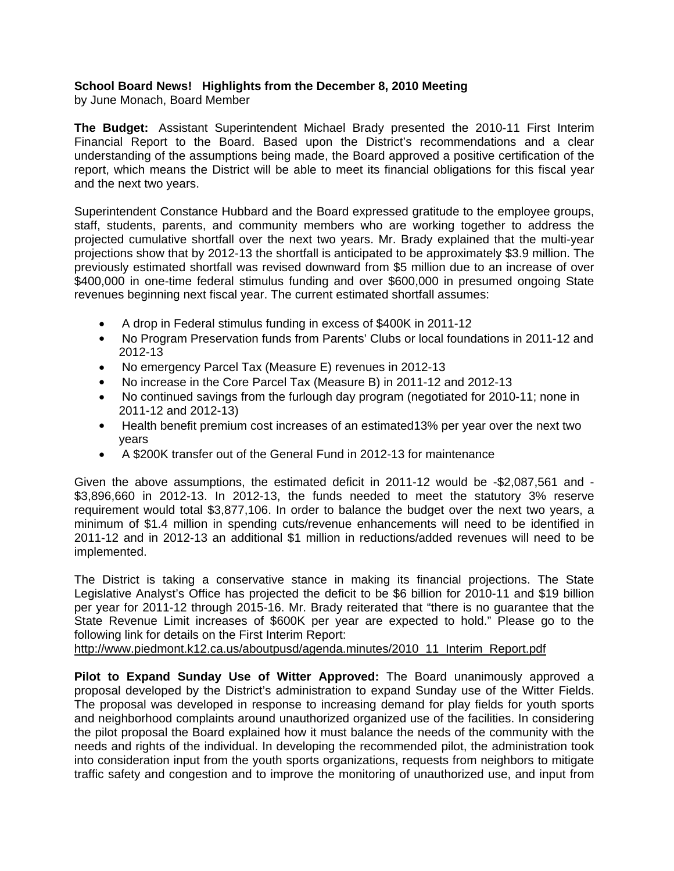## **School Board News! Highlights from the December 8, 2010 Meeting**

by June Monach, Board Member

**The Budget:** Assistant Superintendent Michael Brady presented the 2010-11 First Interim Financial Report to the Board. Based upon the District's recommendations and a clear understanding of the assumptions being made, the Board approved a positive certification of the report, which means the District will be able to meet its financial obligations for this fiscal year and the next two years.

Superintendent Constance Hubbard and the Board expressed gratitude to the employee groups, staff, students, parents, and community members who are working together to address the projected cumulative shortfall over the next two years. Mr. Brady explained that the multi-year projections show that by 2012-13 the shortfall is anticipated to be approximately \$3.9 million. The previously estimated shortfall was revised downward from \$5 million due to an increase of over \$400,000 in one-time federal stimulus funding and over \$600,000 in presumed ongoing State revenues beginning next fiscal year. The current estimated shortfall assumes:

- A drop in Federal stimulus funding in excess of \$400K in 2011-12
- No Program Preservation funds from Parents' Clubs or local foundations in 2011-12 and 2012-13
- No emergency Parcel Tax (Measure E) revenues in 2012-13
- No increase in the Core Parcel Tax (Measure B) in 2011-12 and 2012-13
- No continued savings from the furlough day program (negotiated for 2010-11; none in 2011-12 and 2012-13)
- Health benefit premium cost increases of an estimated13% per year over the next two years
- A \$200K transfer out of the General Fund in 2012-13 for maintenance

Given the above assumptions, the estimated deficit in 2011-12 would be -\$2,087,561 and - \$3,896,660 in 2012-13. In 2012-13, the funds needed to meet the statutory 3% reserve requirement would total \$3,877,106. In order to balance the budget over the next two years, a minimum of \$1.4 million in spending cuts/revenue enhancements will need to be identified in 2011-12 and in 2012-13 an additional \$1 million in reductions/added revenues will need to be implemented.

The District is taking a conservative stance in making its financial projections. The State Legislative Analyst's Office has projected the deficit to be \$6 billion for 2010-11 and \$19 billion per year for 2011-12 through 2015-16. Mr. Brady reiterated that "there is no guarantee that the State Revenue Limit increases of \$600K per year are expected to hold." Please go to the following link for details on the First Interim Report:

http://www.piedmont.k12.ca.us/aboutpusd/agenda.minutes/2010\_11\_Interim\_Report.pdf

**Pilot to Expand Sunday Use of Witter Approved:** The Board unanimously approved a proposal developed by the District's administration to expand Sunday use of the Witter Fields. The proposal was developed in response to increasing demand for play fields for youth sports and neighborhood complaints around unauthorized organized use of the facilities. In considering the pilot proposal the Board explained how it must balance the needs of the community with the needs and rights of the individual. In developing the recommended pilot, the administration took into consideration input from the youth sports organizations, requests from neighbors to mitigate traffic safety and congestion and to improve the monitoring of unauthorized use, and input from